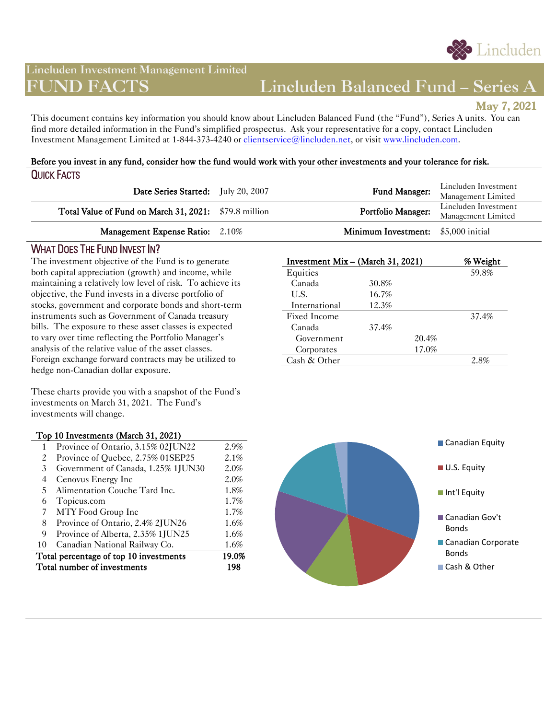

# **Lincluden Investment Management Limited**

# **FUND FACTS Lincluden Balanced Fund – Series A**

**May 7, 2021** 

This document contains key information you should know about Lincluden Balanced Fund (the "Fund"), Series A units. You can find more detailed information in the Fund's simplified prospectus. Ask your representative for a copy, contact Lincluden Investment Management Limited at 1-844-373-4240 or *clientservice@lincluden.net*, or visit [www.lincluden.com.](http://www.lincluden.com/)

#### Before you invest in any fund, consider how the fund would work with your other investments and your tolerance for risk. QUICK FACTS

| Date Series Started: July 20, 2007                    | Fund Manager:                              | Lincluden Investment<br>Management Limited |
|-------------------------------------------------------|--------------------------------------------|--------------------------------------------|
| Total Value of Fund on March 31, 2021: \$79.8 million | Portfolio Manager:                         | Lincluden Investment<br>Management Limited |
| <b>Management Expense Ratio:</b> 2.10%                | <b>Minimum Investment:</b> \$5,000 initial |                                            |

## WHAT DOES THE FUND INVEST IN?

The investment objective of the Fund is to generate both capital appreciation (growth) and income, while maintaining a relatively low level of risk. To achieve its objective, the Fund invests in a diverse portfolio of stocks, government and corporate bonds and short-term instruments such as Government of Canada treasury bills. The exposure to these asset classes is expected to vary over time reflecting the Portfolio Manager's analysis of the relative value of the asset classes. Foreign exchange forward contracts may be utilized to hedge non-Canadian dollar exposure.

These charts provide you with a snapshot of the Fund's investments on March 31, 2021. The Fund's investments will change.

#### Top 10 Investments (March 31, 2021)

|                                                 | Province of Ontario, 3.15% 02JUN22 | 2.9% |
|-------------------------------------------------|------------------------------------|------|
| 2                                               | Province of Quebec, 2.75% 01SEP25  | 2.1% |
| 3                                               | Government of Canada, 1.25% 1JUN30 | 2.0% |
| 4                                               | Cenovus Energy Inc                 | 2.0% |
| 5.                                              | Alimentation Couche Tard Inc.      | 1.8% |
| 6                                               | Topicus.com                        | 1.7% |
| 7                                               | MTY Food Group Inc                 | 1.7% |
| 8                                               | Province of Ontario, 2.4% 2JUN26   | 1.6% |
| 9                                               | Province of Alberta, 2.35% 1JUN25  | 1.6% |
| 10                                              | Canadian National Railway Co.      | 1.6% |
| 19.0%<br>Total percentage of top 10 investments |                                    |      |
|                                                 | Total number of investments        | 198  |
|                                                 |                                    |      |

|       | % Weight                          |
|-------|-----------------------------------|
|       | 59.8%                             |
| 30.8% |                                   |
| 16.7% |                                   |
| 12.3% |                                   |
|       | 37.4%                             |
| 37.4% |                                   |
| 20.4% |                                   |
| 17.0% |                                   |
|       | 2.8%                              |
|       | Investment Mix - (March 31, 2021) |

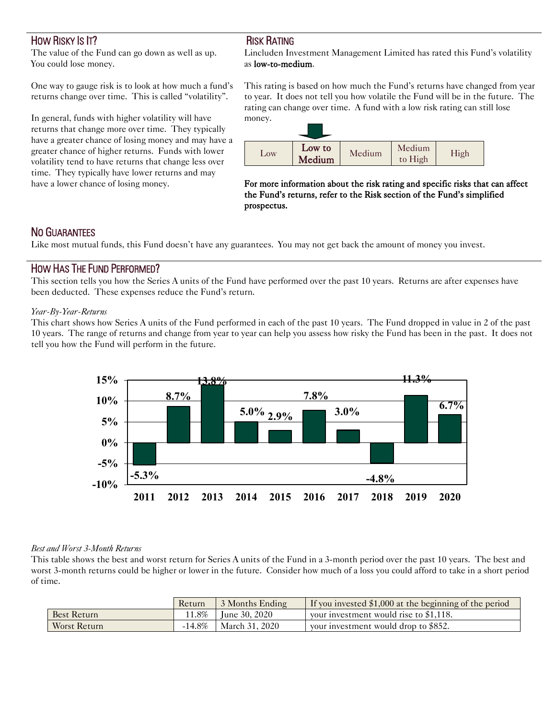# HOW RISKY IS IT?

The value of the Fund can go down as well as up. You could lose money.

One way to gauge risk is to look at how much a fund's returns change over time. This is called "volatility".

In general, funds with higher volatility will have returns that change more over time. They typically have a greater chance of losing money and may have a greater chance of higher returns. Funds with lower volatility tend to have returns that change less over time. They typically have lower returns and may have a lower chance of losing money.

# RISK RATING

Lincluden Investment Management Limited has rated this Fund's volatility as low-to-medium.

This rating is based on how much the Fund's returns have changed from year to year. It does not tell you how volatile the Fund will be in the future. The rating can change over time. A fund with a low risk rating can still lose money.



For more information about the risk rating and specific risks that can affect the Fund's returns, refer to the Risk section of the Fund's simplified prospectus.

# NO GUARANTEES

Like most mutual funds, this Fund doesn't have any guarantees. You may not get back the amount of money you invest.

## HOW HAS THE FUND PERFORMED?

This section tells you how the Series A units of the Fund have performed over the past 10 years. Returns are after expenses have been deducted. These expenses reduce the Fund's return.

#### *Year-By-Year-Returns*

This chart shows how Series A units of the Fund performed in each of the past 10 years. The Fund dropped in value in 2 of the past 10 years. The range of returns and change from year to year can help you assess how risky the Fund has been in the past. It does not tell you how the Fund will perform in the future.



#### *Best and Worst 3-Month Returns*

This table shows the best and worst return for Series A units of the Fund in a 3-month period over the past 10 years. The best and worst 3-month returns could be higher or lower in the future. Consider how much of a loss you could afford to take in a short period of time.

|                    | Return    | 3 Months Ending       | If you invested $$1,000$ at the beginning of the period |
|--------------------|-----------|-----------------------|---------------------------------------------------------|
| <b>Best Return</b> |           | 11.8%   June 30, 2020 | your investment would rise to \$1,118.                  |
| Worst Return       | $-14.8\%$ | March 31, 2020        | vour investment would drop to \$852.                    |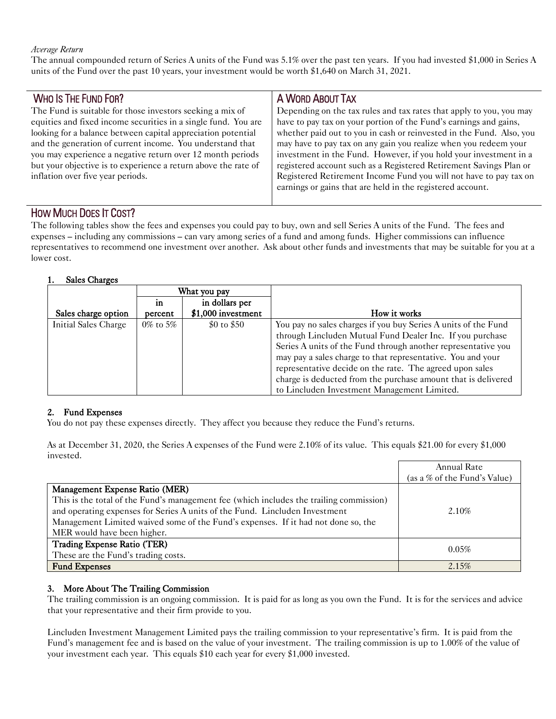#### *Average Return*

The annual compounded return of Series A units of the Fund was 5.1% over the past ten years. If you had invested \$1,000 in Series A units of the Fund over the past 10 years, your investment would be worth \$1,640 on March 31, 2021.

# WHO IS THE FUND FOR?

The Fund is suitable for those investors seeking a mix of equities and fixed income securities in a single fund. You are looking for a balance between capital appreciation potential and the generation of current income. You understand that you may experience a negative return over 12 month periods but your objective is to experience a return above the rate of inflation over five year periods.

# A WORD ABOUT TAX

Depending on the tax rules and tax rates that apply to you, you may have to pay tax on your portion of the Fund's earnings and gains, whether paid out to you in cash or reinvested in the Fund. Also, you may have to pay tax on any gain you realize when you redeem your investment in the Fund. However, if you hold your investment in a registered account such as a Registered Retirement Savings Plan or Registered Retirement Income Fund you will not have to pay tax on earnings or gains that are held in the registered account.

# HOW MUCH DOES IT COST?

The following tables show the fees and expenses you could pay to buy, own and sell Series A units of the Fund. The fees and expenses – including any commissions – can vary among series of a fund and among funds. Higher commissions can influence representatives to recommend one investment over another. Ask about other funds and investments that may be suitable for you at a lower cost.

#### 1. Sales Charges

|                      | What you pay   |                                       |                                                                                                                                                                                                                                                                                                                                                                                                                                         |
|----------------------|----------------|---------------------------------------|-----------------------------------------------------------------------------------------------------------------------------------------------------------------------------------------------------------------------------------------------------------------------------------------------------------------------------------------------------------------------------------------------------------------------------------------|
| Sales charge option  | in<br>percent  | in dollars per<br>$$1,000$ investment | How it works                                                                                                                                                                                                                                                                                                                                                                                                                            |
| Initial Sales Charge | $0\%$ to $5\%$ | $$0$ to $$50$                         | You pay no sales charges if you buy Series A units of the Fund<br>through Lincluden Mutual Fund Dealer Inc. If you purchase<br>Series A units of the Fund through another representative you<br>may pay a sales charge to that representative. You and your<br>representative decide on the rate. The agreed upon sales<br>charge is deducted from the purchase amount that is delivered<br>to Lincluden Investment Management Limited. |

#### 2. Fund Expenses

You do not pay these expenses directly. They affect you because they reduce the Fund's returns.

As at December 31, 2020, the Series A expenses of the Fund were 2.10% of its value. This equals \$21.00 for every \$1,000 invested.

|                                                                                                                           | Annual Rate<br>(as a % of the Fund's Value) |
|---------------------------------------------------------------------------------------------------------------------------|---------------------------------------------|
| Management Expense Ratio (MER)<br>This is the total of the Fund's management fee (which includes the trailing commission) |                                             |
| and operating expenses for Series A units of the Fund. Lincluden Investment                                               | 2.10%                                       |
| Management Limited waived some of the Fund's expenses. If it had not done so, the<br>MER would have been higher.          |                                             |
| Trading Expense Ratio (TER)                                                                                               | 0.05%                                       |
| These are the Fund's trading costs.                                                                                       |                                             |
| <b>Fund Expenses</b>                                                                                                      | 2.15%                                       |

#### 3. More About The Trailing Commission

The trailing commission is an ongoing commission. It is paid for as long as you own the Fund. It is for the services and advice that your representative and their firm provide to you.

Lincluden Investment Management Limited pays the trailing commission to your representative's firm. It is paid from the Fund's management fee and is based on the value of your investment. The trailing commission is up to 1.00% of the value of your investment each year. This equals \$10 each year for every \$1,000 invested.